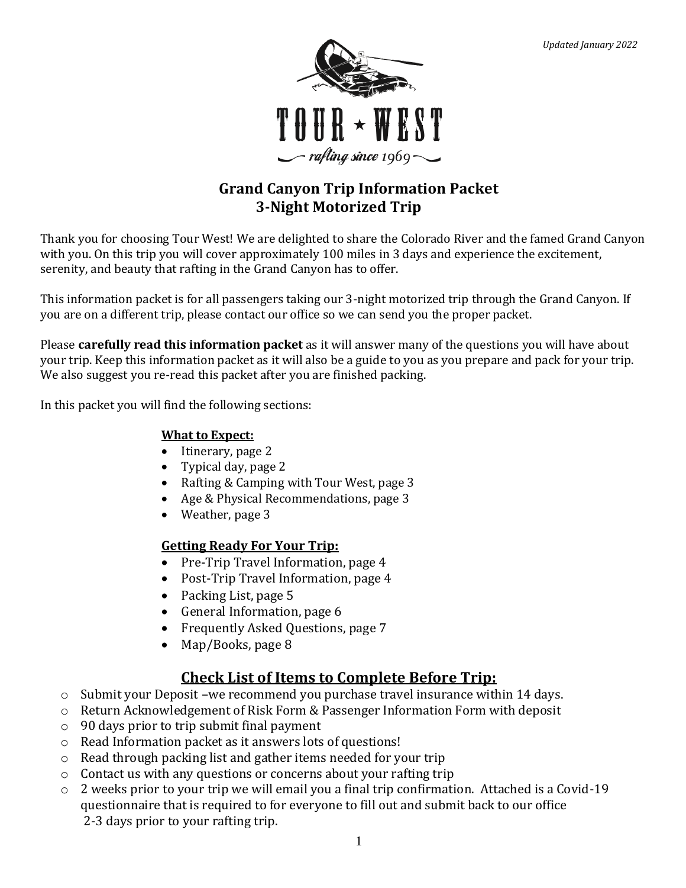

# **Grand Canyon Trip Information Packet 3-Night Motorized Trip**

Thank you for choosing Tour West! We are delighted to share the Colorado River and the famed Grand Canyon with you. On this trip you will cover approximately 100 miles in 3 days and experience the excitement, serenity, and beauty that rafting in the Grand Canyon has to offer.

This information packet is for all passengers taking our 3-night motorized trip through the Grand Canyon. If you are on a different trip, please contact our office so we can send you the proper packet.

Please **carefully read this information packet** as it will answer many of the questions you will have about your trip. Keep this information packet as it will also be a guide to you as you prepare and pack for your trip. We also suggest you re-read this packet after you are finished packing.

In this packet you will find the following sections:

### **What to Expect:**

- Itinerary, page 2
- Typical day, page 2
- Rafting & Camping with Tour West, page 3
- Age & Physical Recommendations, page 3
- Weather, page 3

### **Getting Ready For Your Trip:**

- Pre-Trip Travel Information, page 4
- Post-Trip Travel Information, page 4
- Packing List, page 5
- General Information, page 6
- Frequently Asked Questions, page 7
- Map/Books, page 8

## **Check List of Items to Complete Before Trip:**

- $\circ$  Submit your Deposit –we recommend you purchase travel insurance within 14 days.
- o Return Acknowledgement of Risk Form & Passenger Information Form with deposit
- o 90 days prior to trip submit final payment
- o Read Information packet as it answers lots of questions!
- o Read through packing list and gather items needed for your trip
- o Contact us with any questions or concerns about your rafting trip
- o 2 weeks prior to your trip we will email you a final trip confirmation. Attached is a Covid-19 questionnaire that is required to for everyone to fill out and submit back to our office 2-3 days prior to your rafting trip.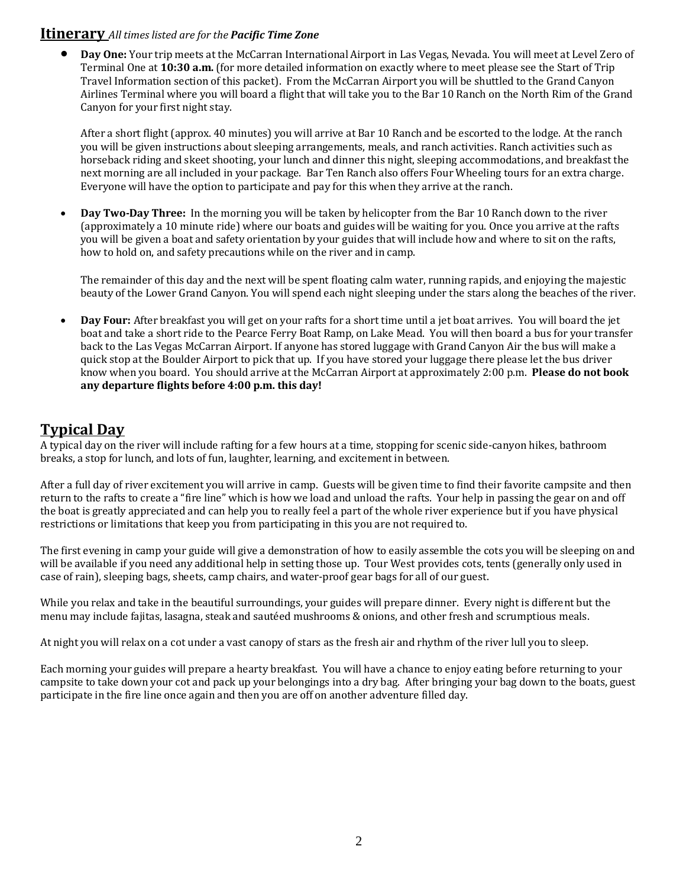#### **Itinerary** *All times listed are for the Pacific Time Zone*

• **Day One:** Your trip meets at the McCarran International Airport in Las Vegas, Nevada. You will meet at Level Zero of Terminal One at **10:30 a.m.** (for more detailed information on exactly where to meet please see the Start of Trip Travel Information section of this packet). From the McCarran Airport you will be shuttled to the Grand Canyon Airlines Terminal where you will board a flight that will take you to the Bar 10 Ranch on the North Rim of the Grand Canyon for your first night stay.

After a short flight (approx. 40 minutes) you will arrive at Bar 10 Ranch and be escorted to the lodge. At the ranch you will be given instructions about sleeping arrangements, meals, and ranch activities. Ranch activities such as horseback riding and skeet shooting, your lunch and dinner this night, sleeping accommodations, and breakfast the next morning are all included in your package. Bar Ten Ranch also offers Four Wheeling tours for an extra charge. Everyone will have the option to participate and pay for this when they arrive at the ranch.

• **Day Two-Day Three:** In the morning you will be taken by helicopter from the Bar 10 Ranch down to the river (approximately a 10 minute ride) where our boats and guides will be waiting for you. Once you arrive at the rafts you will be given a boat and safety orientation by your guides that will include how and where to sit on the rafts, how to hold on, and safety precautions while on the river and in camp.

The remainder of this day and the next will be spent floating calm water, running rapids, and enjoying the majestic beauty of the Lower Grand Canyon. You will spend each night sleeping under the stars along the beaches of the river.

• **Day Four:** After breakfast you will get on your rafts for a short time until a jet boat arrives. You will board the jet boat and take a short ride to the Pearce Ferry Boat Ramp, on Lake Mead. You will then board a bus for your transfer back to the Las Vegas McCarran Airport. If anyone has stored luggage with Grand Canyon Air the bus will make a quick stop at the Boulder Airport to pick that up. If you have stored your luggage there please let the bus driver know when you board. You should arrive at the McCarran Airport at approximately 2:00 p.m. **Please do not book any departure flights before 4:00 p.m. this day!** 

### **Typical Day**

A typical day on the river will include rafting for a few hours at a time, stopping for scenic side-canyon hikes, bathroom breaks, a stop for lunch, and lots of fun, laughter, learning, and excitement in between.

After a full day of river excitement you will arrive in camp. Guests will be given time to find their favorite campsite and then return to the rafts to create a "fire line" which is how we load and unload the rafts. Your help in passing the gear on and off the boat is greatly appreciated and can help you to really feel a part of the whole river experience but if you have physical restrictions or limitations that keep you from participating in this you are not required to.

The first evening in camp your guide will give a demonstration of how to easily assemble the cots you will be sleeping on and will be available if you need any additional help in setting those up. Tour West provides cots, tents (generally only used in case of rain), sleeping bags, sheets, camp chairs, and water-proof gear bags for all of our guest.

While you relax and take in the beautiful surroundings, your guides will prepare dinner. Every night is different but the menu may include fajitas, lasagna, steak and sautéed mushrooms & onions, and other fresh and scrumptious meals.

At night you will relax on a cot under a vast canopy of stars as the fresh air and rhythm of the river lull you to sleep.

Each morning your guides will prepare a hearty breakfast. You will have a chance to enjoy eating before returning to your campsite to take down your cot and pack up your belongings into a dry bag. After bringing your bag down to the boats, guest participate in the fire line once again and then you are off on another adventure filled day.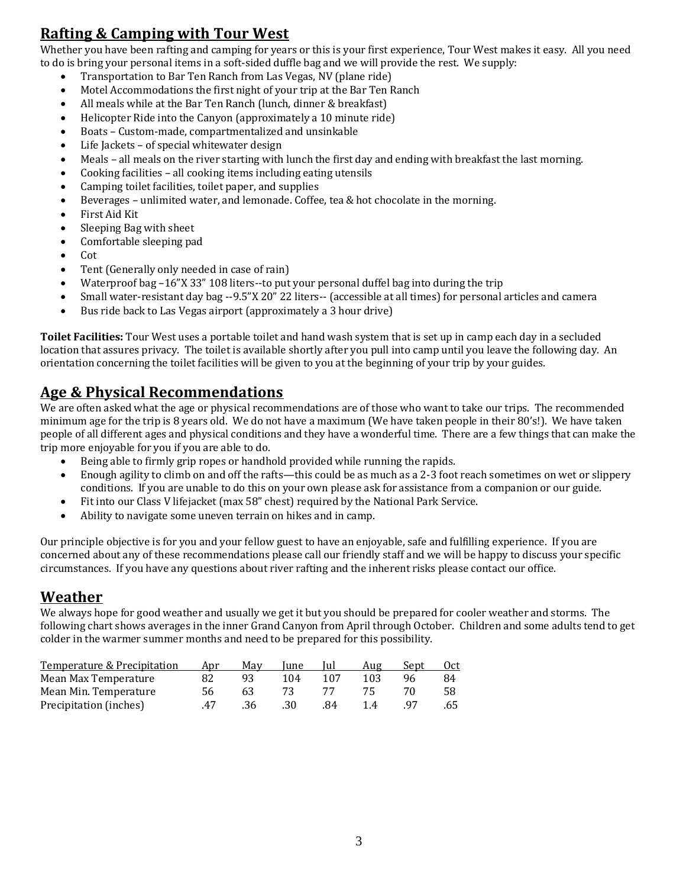## **Rafting & Camping with Tour West**

Whether you have been rafting and camping for years or this is your first experience, Tour West makes it easy. All you need to do is bring your personal items in a soft-sided duffle bag and we will provide the rest. We supply:

- Transportation to Bar Ten Ranch from Las Vegas, NV (plane ride)
- Motel Accommodations the first night of your trip at the Bar Ten Ranch
- All meals while at the Bar Ten Ranch (lunch, dinner & breakfast)
- Helicopter Ride into the Canyon (approximately a 10 minute ride)
- Boats Custom-made, compartmentalized and unsinkable
- Life Jackets of special whitewater design
- Meals all meals on the river starting with lunch the first day and ending with breakfast the last morning.
- Cooking facilities all cooking items including eating utensils
- Camping toilet facilities, toilet paper, and supplies
- Beverages unlimited water, and lemonade. Coffee, tea & hot chocolate in the morning.
- First Aid Kit
- Sleeping Bag with sheet
- Comfortable sleeping pad
- Cot
- Tent (Generally only needed in case of rain)
- Waterproof bag –16"X 33" 108 liters--to put your personal duffel bag into during the trip
- Small water-resistant day bag --9.5"X 20" 22 liters-- (accessible at all times) for personal articles and camera
- Bus ride back to Las Vegas airport (approximately a 3 hour drive)

**Toilet Facilities:** Tour West uses a portable toilet and hand wash system that is set up in camp each day in a secluded location that assures privacy. The toilet is available shortly after you pull into camp until you leave the following day. An orientation concerning the toilet facilities will be given to you at the beginning of your trip by your guides.

### **Age & Physical Recommendations**

We are often asked what the age or physical recommendations are of those who want to take our trips. The recommended minimum age for the trip is 8 years old. We do not have a maximum (We have taken people in their 80's!). We have taken people of all different ages and physical conditions and they have a wonderful time. There are a few things that can make the trip more enjoyable for you if you are able to do.

- Being able to firmly grip ropes or handhold provided while running the rapids.
- Enough agility to climb on and off the rafts—this could be as much as a 2-3 foot reach sometimes on wet or slippery conditions. If you are unable to do this on your own please ask for assistance from a companion or our guide.
- Fit into our Class V lifejacket (max 58" chest) required by the National Park Service.
- Ability to navigate some uneven terrain on hikes and in camp.

Our principle objective is for you and your fellow guest to have an enjoyable, safe and fulfilling experience. If you are concerned about any of these recommendations please call our friendly staff and we will be happy to discuss your specific circumstances. If you have any questions about river rafting and the inherent risks please contact our office.

### **Weather**

We always hope for good weather and usually we get it but you should be prepared for cooler weather and storms. The following chart shows averages in the inner Grand Canyon from April through October. Children and some adults tend to get colder in the warmer summer months and need to be prepared for this possibility.

| Temperature & Precipitation | Apr | May  | lune | Tul | Aug | Sent | 0ct. |
|-----------------------------|-----|------|------|-----|-----|------|------|
| Mean Max Temperature        | 82  |      | 104  | 107 | 103 | 96   | 84   |
| Mean Min. Temperature       | 56  |      |      |     |     |      | 58   |
| Precipitation (inches)      | 47  | .36. | .30  | 84  |     | 97   | .65  |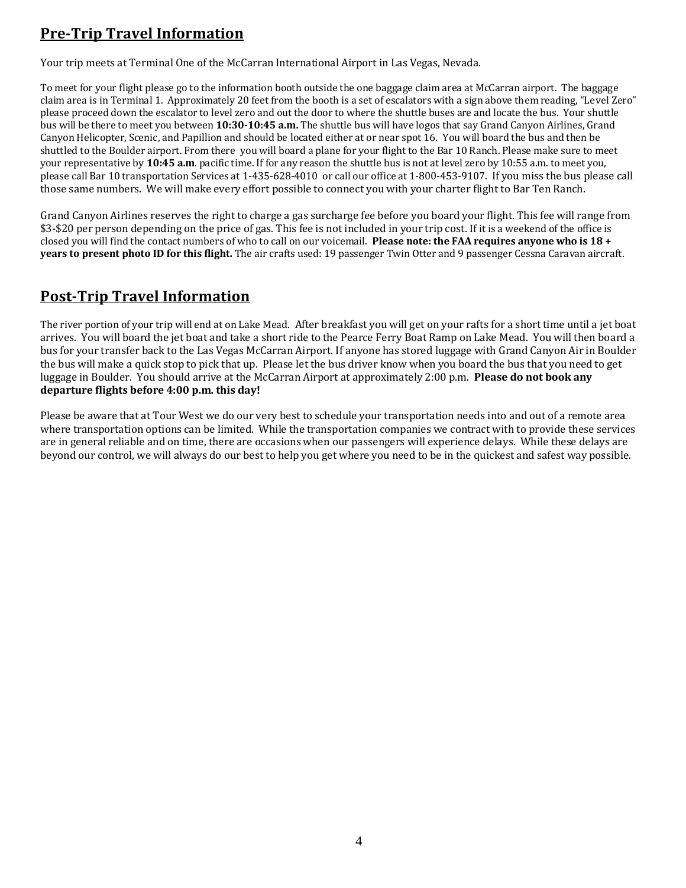# **Pre-Trip Travel Information**

Your trip meets at Terminal One of the McCarran International Airport in Las Vegas, Nevada.

To meet for your flight please go to the information booth outside the one baggage claim area at McCarran airport. The baggage claim area is in Terminal 1. Approximately 20 feet from the booth is a set of escalators with a sign above them reading, "Level Zero" please proceed down the escalator to level zero and out the door to where the shuttle buses are and locate the bus. Your shuttle bus will be there to meet you between **10:30-10:45 a.m.** The shuttle bus will have logos that say Grand Canyon Airlines, Grand Canyon Helicopter, Scenic, and Papillion and should be located either at or near spot 16. You will board the bus and then be shuttled to the Boulder airport. From there you will board a plane for your flight to the Bar 10 Ranch. Please make sure to meet your representative by **10:45 a.m**. pacific time. If for any reason the shuttle bus is not at level zero by 10:55 a.m. to meet you, please call Bar 10 transportation Services at 1-435-628-4010 or call our office at 1-800-453-9107. If you miss the bus please call those same numbers. We will make every effort possible to connect you with your charter flight to Bar Ten Ranch.

Grand Canyon Airlines reserves the right to charge a gas surcharge fee before you board your flight. This fee will range from \$3-\$20 per person depending on the price of gas. This fee is not included in your trip cost. If it is a weekend of the office is closed you will find the contact numbers of who to call on our voicemail. **Please note: the FAA requires anyone who is 18 + years to present photo ID for this flight.** The air crafts used: 19 passenger Twin Otter and 9 passenger Cessna Caravan aircraft.

## **Post-Trip Travel Information**

The river portion of your trip will end at on Lake Mead. After breakfast you will get on your rafts for a short time until a jet boat arrives. You will board the jet boat and take a short ride to the Pearce Ferry Boat Ramp on Lake Mead. You will then board a bus for your transfer back to the Las Vegas McCarran Airport. If anyone has stored luggage with Grand Canyon Air in Boulder the bus will make a quick stop to pick that up. Please let the bus driver know when you board the bus that you need to get luggage in Boulder. You should arrive at the McCarran Airport at approximately 2:00 p.m. **Please do not book any departure flights before 4:00 p.m. this day!** 

Please be aware that at Tour West we do our very best to schedule your transportation needs into and out of a remote area where transportation options can be limited. While the transportation companies we contract with to provide these services are in general reliable and on time, there are occasions when our passengers will experience delays. While these delays are beyond our control, we will always do our best to help you get where you need to be in the quickest and safest way possible.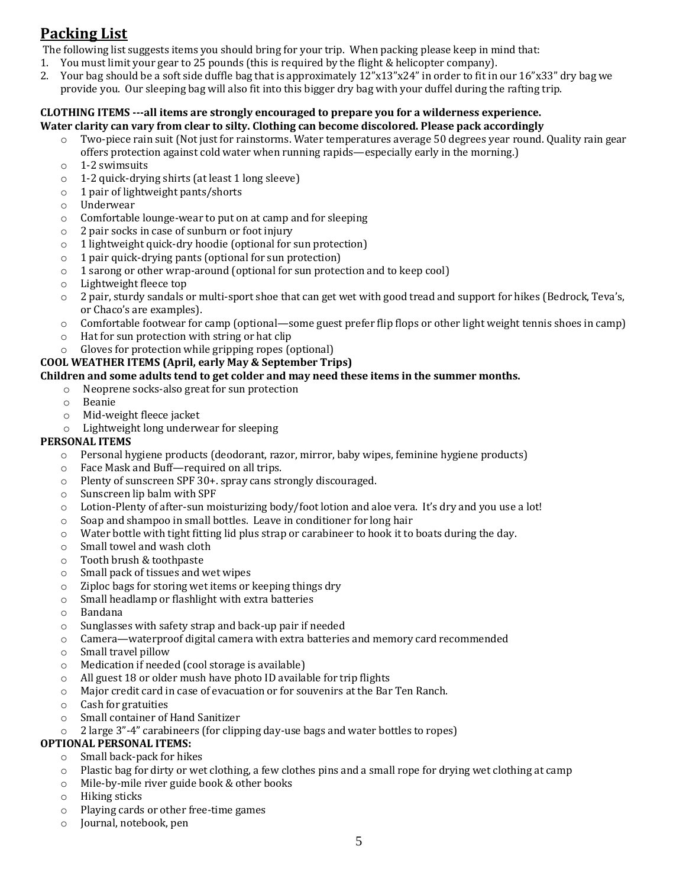# **Packing List**

The following list suggests items you should bring for your trip. When packing please keep in mind that:

- 1. You must limit your gear to 25 pounds (this is required by the flight & helicopter company).
- 2. Your bag should be a soft side duffle bag that is approximately 12"x13"x24" in order to fit in our 16"x33" dry bag we provide you. Our sleeping bag will also fit into this bigger dry bag with your duffel during the rafting trip.

#### **CLOTHING ITEMS ---all items are strongly encouraged to prepare you for a wilderness experience. Water clarity can vary from clear to silty. Clothing can become discolored. Please pack accordingly**

- $\circ$  Two-piece rain suit (Not just for rainstorms. Water temperatures average 50 degrees year round. Quality rain gear offers protection against cold water when running rapids—especially early in the morning.)
- o 1-2 swimsuits
- o 1-2 quick-drying shirts (at least 1 long sleeve)
- o 1 pair of lightweight pants/shorts
- o Underwear
- o Comfortable lounge-wear to put on at camp and for sleeping
- o 2 pair socks in case of sunburn or foot injury
- o 1 lightweight quick-dry hoodie (optional for sun protection)
- o 1 pair quick-drying pants (optional for sun protection)
- o 1 sarong or other wrap-around (optional for sun protection and to keep cool)
- o Lightweight fleece top
- o 2 pair, sturdy sandals or multi-sport shoe that can get wet with good tread and support for hikes (Bedrock, Teva's, or Chaco's are examples).
- o Comfortable footwear for camp (optional—some guest prefer flip flops or other light weight tennis shoes in camp)
- o Hat for sun protection with string or hat clip
- o Gloves for protection while gripping ropes (optional)

#### **COOL WEATHER ITEMS (April, early May & September Trips)**

#### **Children and some adults tend to get colder and may need these items in the summer months.**

- o Neoprene socks-also great for sun protection
	- o Beanie
	- o Mid-weight fleece jacket
- o Lightweight long underwear for sleeping

#### **PERSONAL ITEMS**

- o Personal hygiene products (deodorant, razor, mirror, baby wipes, feminine hygiene products)
- o Face Mask and Buff—required on all trips.
- o Plenty of sunscreen SPF 30+. spray cans strongly discouraged.
- o Sunscreen lip balm with SPF
- o Lotion-Plenty of after-sun moisturizing body/foot lotion and aloe vera. It's dry and you use a lot!
- o Soap and shampoo in small bottles. Leave in conditioner for long hair
- $\circ$  Water bottle with tight fitting lid plus strap or carabineer to hook it to boats during the day.
- o Small towel and wash cloth
- o Tooth brush & toothpaste
- o Small pack of tissues and wet wipes
- o Ziploc bags for storing wet items or keeping things dry
- o Small headlamp or flashlight with extra batteries
- o Bandana
- o Sunglasses with safety strap and back-up pair if needed
- o Camera—waterproof digital camera with extra batteries and memory card recommended
- o Small travel pillow
- o Medication if needed (cool storage is available)
- o All guest 18 or older mush have photo ID available for trip flights
- o Major credit card in case of evacuation or for souvenirs at the Bar Ten Ranch.
- o Cash for gratuities
- o Small container of Hand Sanitizer
- o 2 large 3"-4" carabineers (for clipping day-use bags and water bottles to ropes)

#### **OPTIONAL PERSONAL ITEMS:**

- o Small back-pack for hikes
- $\circ$  Plastic bag for dirty or wet clothing, a few clothes pins and a small rope for drying wet clothing at camp
- o Mile-by-mile river guide book & other books
- o Hiking sticks
- o Playing cards or other free-time games
- o Journal, notebook, pen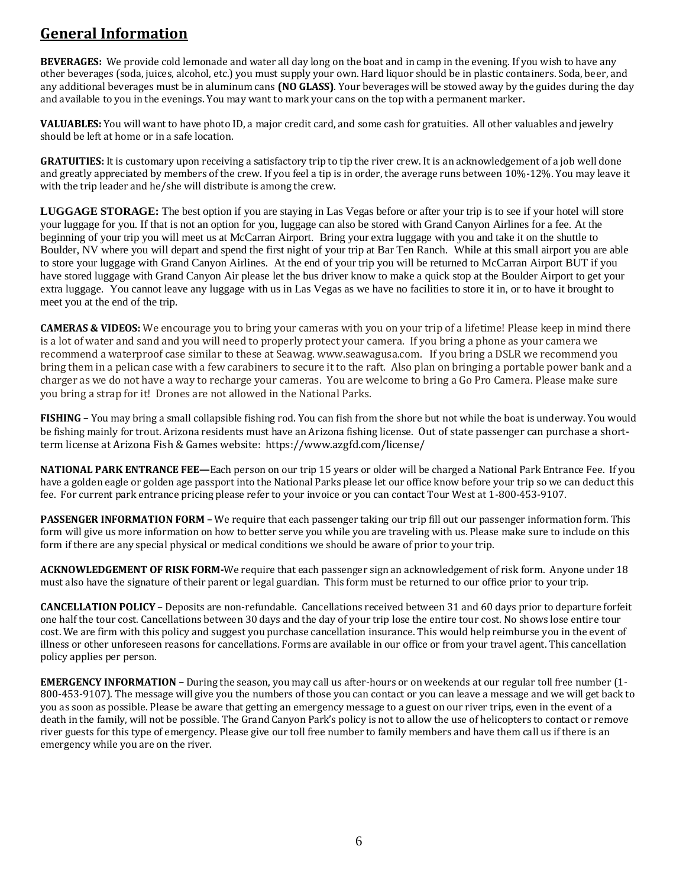## **General Information**

**BEVERAGES:** We provide cold lemonade and water all day long on the boat and in camp in the evening. If you wish to have any other beverages (soda, juices, alcohol, etc.) you must supply your own. Hard liquor should be in plastic containers. Soda, beer, and any additional beverages must be in aluminum cans **(NO GLASS)**. Your beverages will be stowed away by the guides during the day and available to you in the evenings. You may want to mark your cans on the top with a permanent marker.

**VALUABLES:** You will want to have photo ID, a major credit card, and some cash for gratuities. All other valuables and jewelry should be left at home or in a safe location.

GRATUITIES: It is customary upon receiving a satisfactory trip to tip the river crew. It is an acknowledgement of a job well done and greatly appreciated by members of the crew. If you feel a tip is in order, the average runs between 10%-12%. You may leave it with the trip leader and he/she will distribute is among the crew.

**LUGGAGE STORAGE:** The best option if you are staying in Las Vegas before or after your trip is to see if your hotel will store your luggage for you. If that is not an option for you, luggage can also be stored with Grand Canyon Airlines for a fee. At the beginning of your trip you will meet us at McCarran Airport. Bring your extra luggage with you and take it on the shuttle to Boulder, NV where you will depart and spend the first night of your trip at Bar Ten Ranch. While at this small airport you are able to store your luggage with Grand Canyon Airlines. At the end of your trip you will be returned to McCarran Airport BUT if you have stored luggage with Grand Canyon Air please let the bus driver know to make a quick stop at the Boulder Airport to get your extra luggage. You cannot leave any luggage with us in Las Vegas as we have no facilities to store it in, or to have it brought to meet you at the end of the trip.

**CAMERAS & VIDEOS:** We encourage you to bring your cameras with you on your trip of a lifetime! Please keep in mind there is a lot of water and sand and you will need to properly protect your camera. If you bring a phone as your camera we recommend a waterproof case similar to these at Seawag. www.seawagusa.com. If you bring a DSLR we recommend you bring them in a pelican case with a few carabiners to secure it to the raft. Also plan on bringing a portable power bank and a charger as we do not have a way to recharge your cameras. You are welcome to bring a Go Pro Camera. Please make sure you bring a strap for it! Drones are not allowed in the National Parks.

**FISHING –** You may bring a small collapsible fishing rod. You can fish from the shore but not while the boat is underway. You would be fishing mainly for trout. Arizona residents must have an Arizona fishing license. Out of state passenger can purchase a shortterm license at Arizona Fish & Games website: https://www.azgfd.com/license/

**NATIONAL PARK ENTRANCE FEE—**Each person on our trip 15 years or older will be charged a National Park Entrance Fee. If you have a golden eagle or golden age passport into the National Parks please let our office know before your trip so we can deduct this fee. For current park entrance pricing please refer to your invoice or you can contact Tour West at 1-800-453-9107.

**PASSENGER INFORMATION FORM –** We require that each passenger taking our trip fill out our passenger information form. This form will give us more information on how to better serve you while you are traveling with us. Please make sure to include on this form if there are any special physical or medical conditions we should be aware of prior to your trip.

**ACKNOWLEDGEMENT OF RISK FORM-**We require that each passenger sign an acknowledgement of risk form. Anyone under 18 must also have the signature of their parent or legal guardian. This form must be returned to our office prior to your trip.

**CANCELLATION POLICY** – Deposits are non-refundable. Cancellations received between 31 and 60 days prior to departure forfeit one half the tour cost. Cancellations between 30 days and the day of your trip lose the entire tour cost. No shows lose entire tour cost. We are firm with this policy and suggest you purchase cancellation insurance. This would help reimburse you in the event of illness or other unforeseen reasons for cancellations. Forms are available in our office or from your travel agent. This cancellation policy applies per person.

**EMERGENCY INFORMATION –** During the season, you may call us after-hours or on weekends at our regular toll free number (1- 800-453-9107). The message will give you the numbers of those you can contact or you can leave a message and we will get back to you as soon as possible. Please be aware that getting an emergency message to a guest on our river trips, even in the event of a death in the family, will not be possible. The Grand Canyon Park's policy is not to allow the use of helicopters to contact or remove river guests for this type of emergency. Please give our toll free number to family members and have them call us if there is an emergency while you are on the river.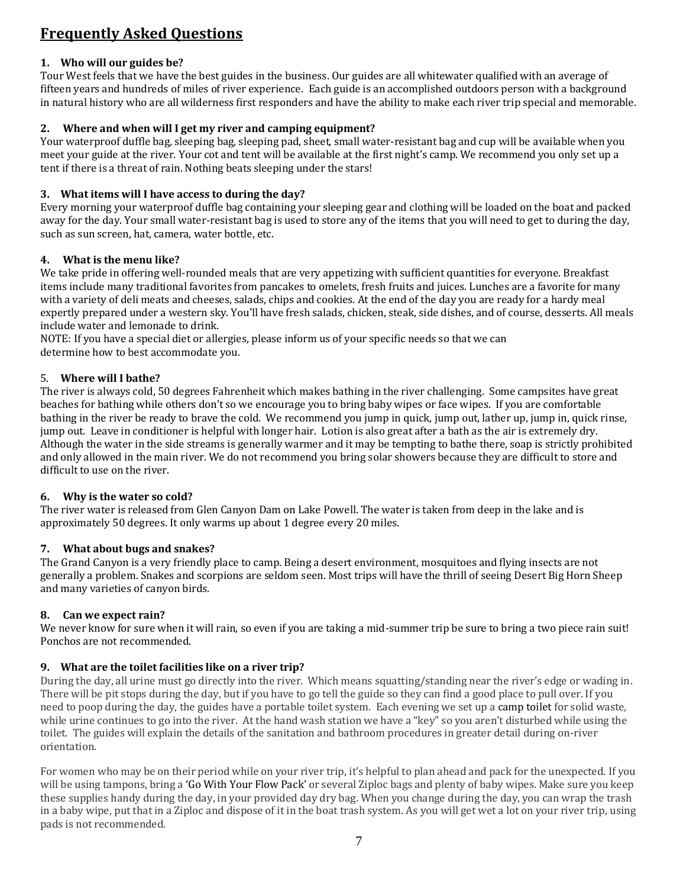# **Frequently Asked Questions**

#### **1. Who will our guides be?**

Tour West feels that we have the best guides in the business. Our guides are all whitewater qualified with an average of fifteen years and hundreds of miles of river experience. Each guide is an accomplished outdoors person with a background in natural history who are all wilderness first responders and have the ability to make each river trip special and memorable.

#### **2. Where and when will I get my river and camping equipment?**

Your waterproof duffle bag, sleeping bag, sleeping pad, sheet, small water-resistant bag and cup will be available when you meet your guide at the river. Your cot and tent will be available at the first night's camp. We recommend you only set up a tent if there is a threat of rain. Nothing beats sleeping under the stars!

#### **3. What items will I have access to during the day?**

Every morning your waterproof duffle bag containing your sleeping gear and clothing will be loaded on the boat and packed away for the day. Your small water-resistant bag is used to store any of the items that you will need to get to during the day, such as sun screen, hat, camera, water bottle, etc.

#### **4. What is the menu like?**

We take pride in offering well-rounded meals that are very appetizing with sufficient quantities for everyone. Breakfast items include many traditional favorites from pancakes to omelets, fresh fruits and juices. Lunches are a favorite for many with a variety of deli meats and cheeses, salads, chips and cookies. At the end of the day you are ready for a hardy meal expertly prepared under a western sky. You'll have fresh salads, chicken, steak, side dishes, and of course, desserts. All meals include water and lemonade to drink.

NOTE: If you have a special diet or allergies, please inform us of your specific needs so that we can determine how to best accommodate you.

#### 5. **Where will I bathe?**

The river is always cold, 50 degrees Fahrenheit which makes bathing in the river challenging. Some campsites have great beaches for bathing while others don't so we encourage you to bring baby wipes or face wipes. If you are comfortable bathing in the river be ready to brave the cold. We recommend you jump in quick, jump out, lather up, jump in, quick rinse, jump out. Leave in conditioner is helpful with longer hair. Lotion is also great after a bath as the air is extremely dry. Although the water in the side streams is generally warmer and it may be tempting to bathe there, soap is strictly prohibited and only allowed in the main river. We do not recommend you bring solar showers because they are difficult to store and difficult to use on the river.

#### **6. Why is the water so cold?**

The river water is released from Glen Canyon Dam on Lake Powell. The water is taken from deep in the lake and is approximately 50 degrees. It only warms up about 1 degree every 20 miles.

#### **7. What about bugs and snakes?**

The Grand Canyon is a very friendly place to camp. Being a desert environment, mosquitoes and flying insects are not generally a problem. Snakes and scorpions are seldom seen. Most trips will have the thrill of seeing Desert Big Horn Sheep and many varieties of canyon birds.

#### **8. Can we expect rain?**

We never know for sure when it will rain, so even if you are taking a mid-summer trip be sure to bring a two piece rain suit! Ponchos are not recommended.

#### **9. What are the toilet facilities like on a river trip?**

During the day, all urine must go directly into the river. Which means squatting/standing near the river's edge or wading in. There will be pit stops during the day, but if you have to go tell the guide so they can find a good place to pull over. If you need to poop during the day, the guides have a portable toilet system. Each evening we set up [a camp toilet](https://raftarizona.com/number-two-with-a-view/) for solid waste, while urine continues to go into the river. At the hand wash station we have a "key" so you aren't disturbed while using the toilet. The guides will explain the details of the sanitation and bathroom procedures in greater detail during on-river orientation.

For women who may be on their period while on your river trip, it's helpful to plan ahead and pack for the unexpected. If you will be using tampons, bring a ['Go With Your Flow Pack'](https://animosa.co/shopgwyf) or several Ziploc bags and plenty of baby wipes. Make sure you keep these supplies handy during the day, in your provided day dry bag. When you change during the day, you can wrap the trash in a baby wipe, put that in a Ziploc and dispose of it in the boat trash system. As you will get wet a lot on your river trip, using pads is not recommended.